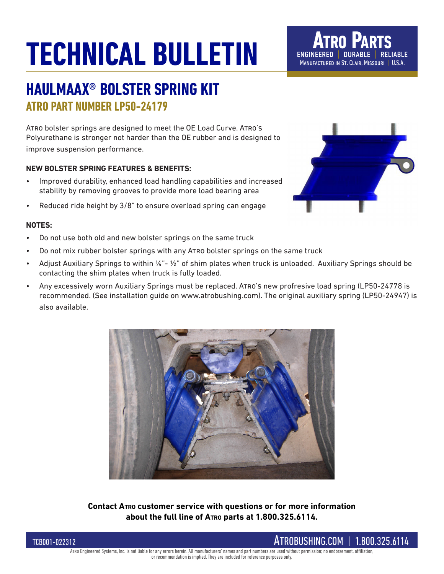## **TECHNICAL BULLETIN**

## **HAULMAAX® BOLSTER SPRING KIT ATRO PART NUMBER LP50-24179**

Atro bolster springs are designed to meet the OE Load Curve. Atro's Polyurethane is stronger not harder than the OE rubber and is designed to improve suspension performance.

#### **NEW BOLSTER SPRING FEATURES & BENEFITS:**

- Improved durability, enhanced load handling capabilities and increased stability by removing grooves to provide more load bearing area
- Reduced ride height by 3/8" to ensure overload spring can engage

#### **NOTES:**

- Do not use both old and new bolster springs on the same truck
- Do not mix rubber bolster springs with any ATRO bolster springs on the same truck
- Adjust Auxiliary Springs to within ¼"- ½" of shim plates when truck is unloaded. Auxiliary Springs should be contacting the shim plates when truck is fully loaded.
- Any excessively worn Auxiliary Springs must be replaced. Atro's new profresive load spring (LP50-24778 is recommended. (See installation guide on www.atrobushing.com). The original auxiliary spring (LP50-24947) is also available.



**Contact Atro customer service with questions or for more information about the full line of Atro parts at 1.800.325.6114.**



**Atro Parts** engineered | durable | reliable MANUFACTURED IN ST. CLAIR, MISSOURI | U.S.A.

#### TCB001-022312



Arro Engineered Systems, Inc. is not liable for any errors herein. All manufacturers' names and part numbers are used without permission; no endorsement, affiliation

#### or recommendation is implied. They are included for reference purposes only.